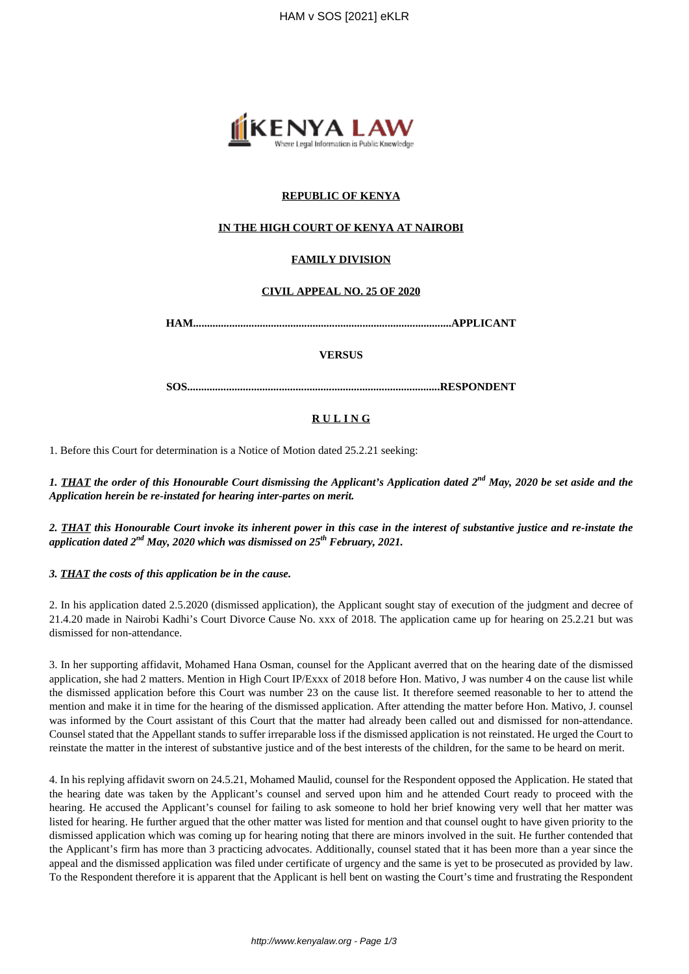

# **REPUBLIC OF KENYA**

## **IN THE HIGH COURT OF KENYA AT NAIROBI**

# **FAMILY DIVISION**

## **CIVIL APPEAL NO. 25 OF 2020**

**HAM.............................................................................................APPLICANT**

### **VERSUS**

**SOS...........................................................................................RESPONDENT**

## **R U L I N G**

1. Before this Court for determination is a Notice of Motion dated 25.2.21 seeking:

*1. THAT the order of this Honourable Court dismissing the Applicant's Application dated 2nd May, 2020 be set aside and the Application herein be re-instated for hearing inter-partes on merit.*

*2. THAT this Honourable Court invoke its inherent power in this case in the interest of substantive justice and re-instate the application dated 2nd May, 2020 which was dismissed on 25th February, 2021.*

*3. THAT the costs of this application be in the cause.*

2. In his application dated 2.5.2020 (dismissed application), the Applicant sought stay of execution of the judgment and decree of 21.4.20 made in Nairobi Kadhi's Court Divorce Cause No. xxx of 2018. The application came up for hearing on 25.2.21 but was dismissed for non-attendance.

3. In her supporting affidavit, Mohamed Hana Osman, counsel for the Applicant averred that on the hearing date of the dismissed application, she had 2 matters. Mention in High Court IP/Exxx of 2018 before Hon. Mativo, J was number 4 on the cause list while the dismissed application before this Court was number 23 on the cause list. It therefore seemed reasonable to her to attend the mention and make it in time for the hearing of the dismissed application. After attending the matter before Hon. Mativo, J. counsel was informed by the Court assistant of this Court that the matter had already been called out and dismissed for non-attendance. Counsel stated that the Appellant stands to suffer irreparable loss if the dismissed application is not reinstated. He urged the Court to reinstate the matter in the interest of substantive justice and of the best interests of the children, for the same to be heard on merit.

4. In his replying affidavit sworn on 24.5.21, Mohamed Maulid, counsel for the Respondent opposed the Application. He stated that the hearing date was taken by the Applicant's counsel and served upon him and he attended Court ready to proceed with the hearing. He accused the Applicant's counsel for failing to ask someone to hold her brief knowing very well that her matter was listed for hearing. He further argued that the other matter was listed for mention and that counsel ought to have given priority to the dismissed application which was coming up for hearing noting that there are minors involved in the suit. He further contended that the Applicant's firm has more than 3 practicing advocates. Additionally, counsel stated that it has been more than a year since the appeal and the dismissed application was filed under certificate of urgency and the same is yet to be prosecuted as provided by law. To the Respondent therefore it is apparent that the Applicant is hell bent on wasting the Court's time and frustrating the Respondent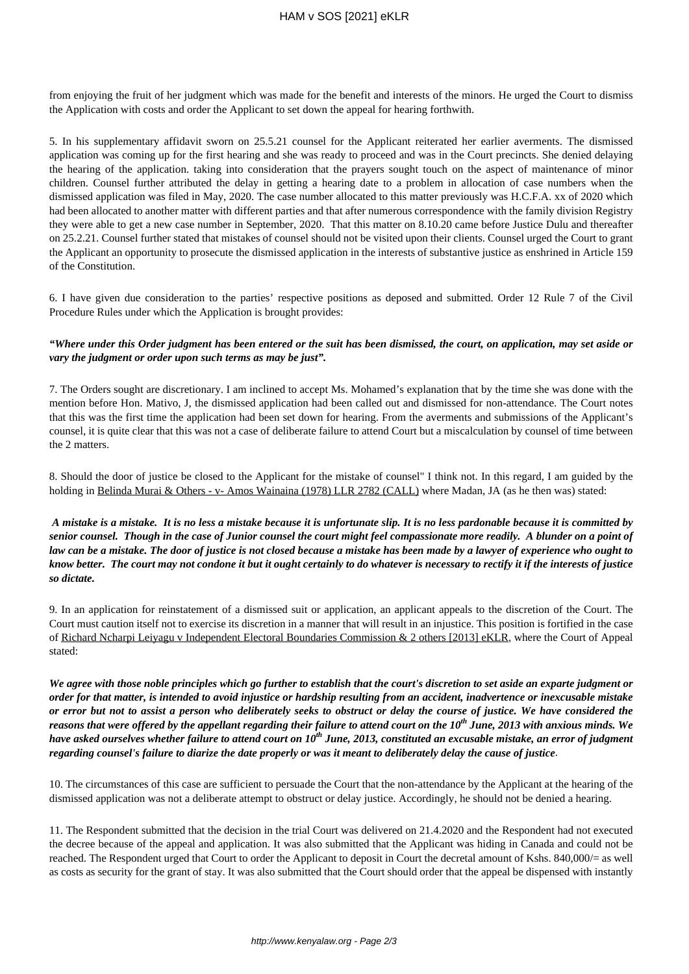from enjoying the fruit of her judgment which was made for the benefit and interests of the minors. He urged the Court to dismiss the Application with costs and order the Applicant to set down the appeal for hearing forthwith.

5. In his supplementary affidavit sworn on 25.5.21 counsel for the Applicant reiterated her earlier averments. The dismissed application was coming up for the first hearing and she was ready to proceed and was in the Court precincts. She denied delaying the hearing of the application. taking into consideration that the prayers sought touch on the aspect of maintenance of minor children. Counsel further attributed the delay in getting a hearing date to a problem in allocation of case numbers when the dismissed application was filed in May, 2020. The case number allocated to this matter previously was H.C.F.A. xx of 2020 which had been allocated to another matter with different parties and that after numerous correspondence with the family division Registry they were able to get a new case number in September, 2020. That this matter on 8.10.20 came before Justice Dulu and thereafter on 25.2.21. Counsel further stated that mistakes of counsel should not be visited upon their clients. Counsel urged the Court to grant the Applicant an opportunity to prosecute the dismissed application in the interests of substantive justice as enshrined in Article 159 of the Constitution.

6. I have given due consideration to the parties' respective positions as deposed and submitted. Order 12 Rule 7 of the Civil Procedure Rules under which the Application is brought provides:

## *"Where under this Order judgment has been entered or the suit has been dismissed, the court, on application, may set aside or vary the judgment or order upon such terms as may be just".*

7. The Orders sought are discretionary. I am inclined to accept Ms. Mohamed's explanation that by the time she was done with the mention before Hon. Mativo, J, the dismissed application had been called out and dismissed for non-attendance. The Court notes that this was the first time the application had been set down for hearing. From the averments and submissions of the Applicant's counsel, it is quite clear that this was not a case of deliberate failure to attend Court but a miscalculation by counsel of time between the 2 matters.

8. Should the door of justice be closed to the Applicant for the mistake of counsel" I think not. In this regard, I am guided by the holding in Belinda Murai & Others - v- Amos Wainaina (1978) LLR 2782 (CALL) where Madan, JA (as he then was) stated:

*A mistake is a mistake. It is no less a mistake because it is unfortunate slip. It is no less pardonable because it is committed by senior counsel. Though in the case of Junior counsel the court might feel compassionate more readily. A blunder on a point of law can be a mistake. The door of justice is not closed because a mistake has been made by a lawyer of experience who ought to know better. The court may not condone it but it ought certainly to do whatever is necessary to rectify it if the interests of justice so dictate.*

9. In an application for reinstatement of a dismissed suit or application, an applicant appeals to the discretion of the Court. The Court must caution itself not to exercise its discretion in a manner that will result in an injustice. This position is fortified in the case of Richard Ncharpi Leiyagu v Independent Electoral Boundaries Commission & 2 others [2013] eKLR, where the Court of Appeal stated:

*We agree with those noble principles which go further to establish that the court's discretion to set aside an exparte judgment or order for that matter, is intended to avoid injustice or hardship resulting from an accident, inadvertence or inexcusable mistake or error but not to assist a person who deliberately seeks to obstruct or delay the course of justice. We have considered the reasons that were offered by the appellant regarding their failure to attend court on the 10th June, 2013 with anxious minds. We have asked ourselves whether failure to attend court on 10th June, 2013, constituted an excusable mistake, an error of judgment regarding counsel's failure to diarize the date properly or was it meant to deliberately delay the cause of justice*.

10. The circumstances of this case are sufficient to persuade the Court that the non-attendance by the Applicant at the hearing of the dismissed application was not a deliberate attempt to obstruct or delay justice. Accordingly, he should not be denied a hearing.

11. The Respondent submitted that the decision in the trial Court was delivered on 21.4.2020 and the Respondent had not executed the decree because of the appeal and application. It was also submitted that the Applicant was hiding in Canada and could not be reached. The Respondent urged that Court to order the Applicant to deposit in Court the decretal amount of Kshs. 840,000/= as well as costs as security for the grant of stay. It was also submitted that the Court should order that the appeal be dispensed with instantly